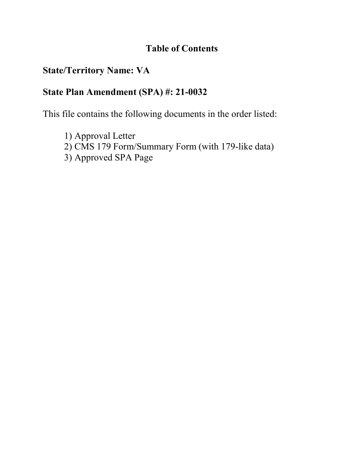# **Table of Contents**

# **State/Territory Name: VA**

# **State Plan Amendment (SPA) #: 21-0032**

This file contains the following documents in the order listed:

1) Approval Letter 2) CMS 179 Form/Summary Form (with 179-like data) 3) Approved SPA Page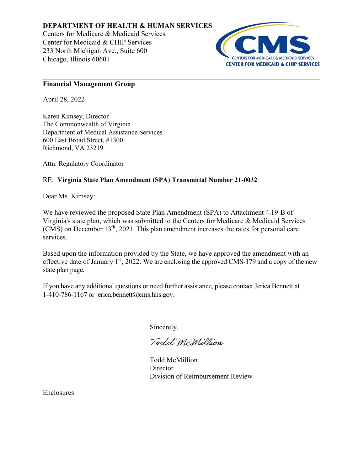### **DEPARTMENT OF HEALTH & HUMAN SERVICES**

Centers for Medicare & Medicaid Services Center for Medicaid & CHIP Services 233 North Michigan Ave., Suite 600 Chicago, Illinois 60601



### **Financial Management Group**

April 28, 2022

Karen Kimsey, Director The Commonwealth of Virginia Department of Medical Assistance Services 600 East Broad Street, #1300 Richmond, VA 23219

Attn: Regulatory Coordinator

#### RE: **Virginia State Plan Amendment (SPA) Transmittal Number 21-0032**

Dear Ms. Kimsey:

We have reviewed the proposed State Plan Amendment (SPA) to Attachment 4.19-B of Virginia's state plan, which was submitted to the Centers for Medicare & Medicaid Services  $(CMS)$  on December 13<sup>th</sup>, 2021. This plan amendment increases the rates for personal care services.

Based upon the information provided by the State, we have approved the amendment with an effective date of January  $1<sup>st</sup>$ , 2022. We are enclosing the approved CMS-179 and a copy of the new state plan page.

If you have any additional questions or need further assistance, please contact Jerica Bennett at 1-410-786-1167 or jerica.bennett@cms.hhs.gov.

Sincerely,

Todd McMillion

Todd McMillion **Director** Division of Reimbursement Review

Enclosures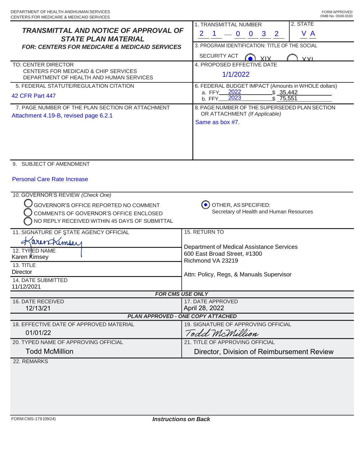| <b>TRANSMITTAL AND NOTICE OF APPROVAL OF</b><br><b>STATE PLAN MATERIAL</b><br><b>FOR: CENTERS FOR MEDICARE &amp; MEDICAID SERVICES</b>                                | 2. STATE<br>1. TRANSMITTAL NUMBER<br>V A<br>$\mathbf{2}$<br>$-0$<br>$\bf{0}$<br>3<br>$\mathbf{2}$<br>3. PROGRAM IDENTIFICATION: TITLE OF THE SOCIAL<br>SECURITY ACT |
|-----------------------------------------------------------------------------------------------------------------------------------------------------------------------|---------------------------------------------------------------------------------------------------------------------------------------------------------------------|
| TO: CENTER DIRECTOR<br><b>CENTERS FOR MEDICAID &amp; CHIP SERVICES</b><br>DEPARTMENT OF HEALTH AND HUMAN SERVICES                                                     | <b>XIX</b><br><b>YYI</b><br>4. PROPOSED EFFECTIVE DATE<br>1/1/2022                                                                                                  |
| 5. FEDERAL STATUTE/REGULATION CITATION<br><b>42 CFR Part 447</b>                                                                                                      | 6. FEDERAL BUDGET IMPACT (Amounts in WHOLE dollars)<br>2022<br>\$35,442<br>a. FFY<br>2023<br>\$75,551<br>b. FFY                                                     |
| 7. PAGE NUMBER OF THE PLAN SECTION OR ATTACHMENT<br>Attachment 4.19-B, revised page 6.2.1                                                                             | 8. PAGE NUMBER OF THE SUPERSEDED PLAN SECTION<br>OR ATTACHMENT (If Applicable)<br>Same as box #7.                                                                   |
| 9. SUBJECT OF AMENDMENT                                                                                                                                               |                                                                                                                                                                     |
| <b>Personal Care Rate Increase</b>                                                                                                                                    |                                                                                                                                                                     |
| 10. GOVERNOR'S REVIEW (Check One)<br>GOVERNOR'S OFFICE REPORTED NO COMMENT<br>COMMENTS OF GOVERNOR'S OFFICE ENCLOSED<br>NO REPLY RECEIVED WITHIN 45 DAYS OF SUBMITTAL | OTHER, AS SPECIFIED:<br>Secretary of Health and Human Resources                                                                                                     |
| 11. SIGNATURE OF STATE AGENCY OFFICIAL                                                                                                                                | <b>15. RETURN TO</b>                                                                                                                                                |
| arentimous<br>12. TYPED NAME<br>Karen Kimsey<br>13. TITLE<br><b>Director</b><br><b>14. DATE SUBMITTED</b><br>11/12/2021                                               | Department of Medical Assistance Services<br>600 East Broad Street, #1300<br>Richmond VA 23219<br>Attn: Policy, Regs, & Manuals Supervisor                          |
| <b>FOR CMS USE ONLY</b>                                                                                                                                               |                                                                                                                                                                     |
| 16. DATE RECEIVED<br>12/13/21                                                                                                                                         | 17. DATE APPROVED<br>April 28, 2022                                                                                                                                 |
| <b>PLAN APPROVED - ONE COPY ATTACHED</b>                                                                                                                              |                                                                                                                                                                     |
| 18. EFFECTIVE DATE OF APPROVED MATERIAL                                                                                                                               | 19. SIGNATURE OF APPROVING OFFICIAL                                                                                                                                 |
| 01/01/22                                                                                                                                                              | Todd McMillion                                                                                                                                                      |
| 20. TYPED NAME OF APPROVING OFFICIAL                                                                                                                                  | 21. TITLE OF APPROVING OFFICIAL                                                                                                                                     |
| <b>Todd McMillion</b>                                                                                                                                                 | Director, Division of Reimbursement Review                                                                                                                          |
| 22. REMARKS                                                                                                                                                           |                                                                                                                                                                     |